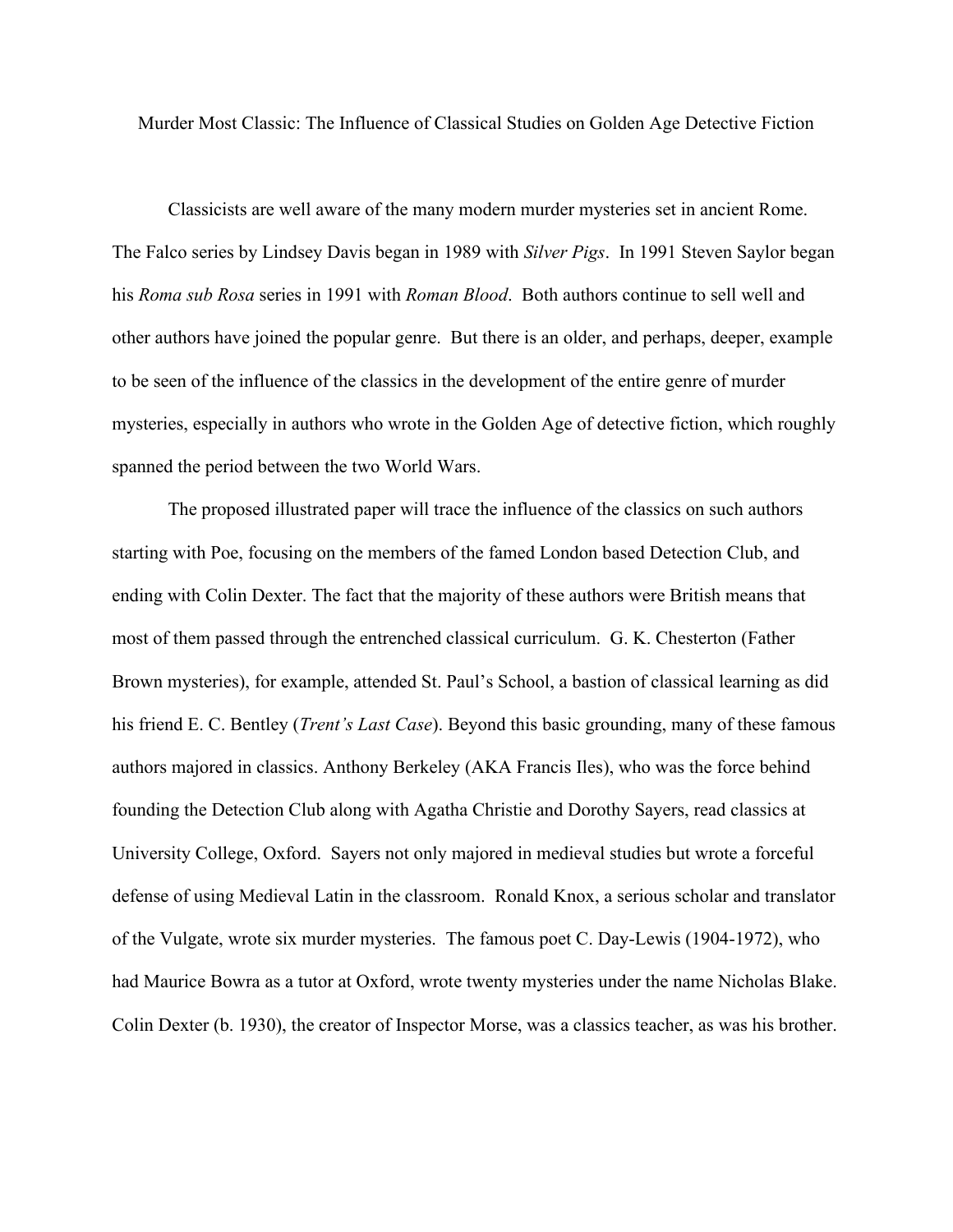Murder Most Classic: The Influence of Classical Studies on Golden Age Detective Fiction

Classicists are well aware of the many modern murder mysteries set in ancient Rome. The Falco series by Lindsey Davis began in 1989 with *Silver Pigs*. In 1991 Steven Saylor began his *Roma sub Rosa* series in 1991 with *Roman Blood*. Both authors continue to sell well and other authors have joined the popular genre. But there is an older, and perhaps, deeper, example to be seen of the influence of the classics in the development of the entire genre of murder mysteries, especially in authors who wrote in the Golden Age of detective fiction, which roughly spanned the period between the two World Wars.

The proposed illustrated paper will trace the influence of the classics on such authors starting with Poe, focusing on the members of the famed London based Detection Club, and ending with Colin Dexter. The fact that the majority of these authors were British means that most of them passed through the entrenched classical curriculum. G. K. Chesterton (Father Brown mysteries), for example, attended St. Paul's School, a bastion of classical learning as did his friend E. C. Bentley (*Trent's Last Case*). Beyond this basic grounding, many of these famous authors majored in classics. Anthony Berkeley (AKA Francis Iles), who was the force behind founding the Detection Club along with Agatha Christie and Dorothy Sayers, read classics at University College, Oxford. Sayers not only majored in medieval studies but wrote a forceful defense of using Medieval Latin in the classroom. Ronald Knox, a serious scholar and translator of the Vulgate, wrote six murder mysteries. The famous poet C. Day-Lewis (1904-1972), who had Maurice Bowra as a tutor at Oxford, wrote twenty mysteries under the name Nicholas Blake. Colin Dexter (b. 1930), the creator of Inspector Morse, was a classics teacher, as was his brother.